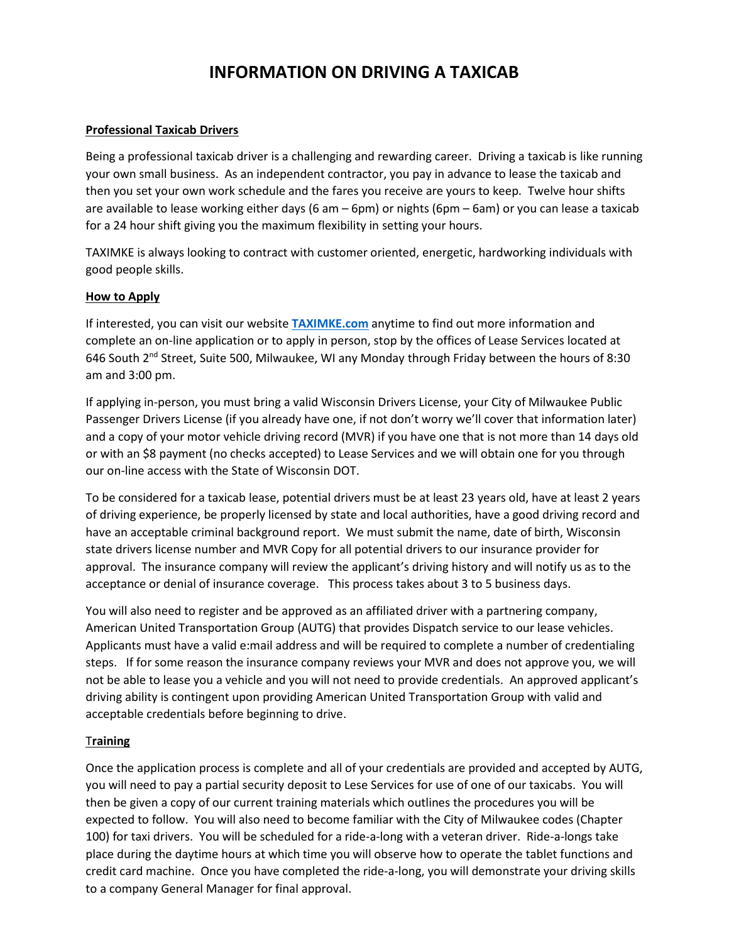# **INFORMATION ON DRIVING A TAXICAB**

#### **Professional Taxicab Drivers**

Being a professional taxicab driver is a challenging and rewarding career. Driving a taxicab is like running your own small business. As an independent contractor, you pay in advance to lease the taxicab and then you set your own work schedule and the fares you receive are yours to keep. Twelve hour shifts are available to lease working either days (6 am – 6pm) or nights (6pm – 6am) or you can lease a taxicab for a 24 hour shift giving you the maximum flexibility in setting your hours.

TAXIMKE is always looking to contract with customer oriented, energetic, hardworking individuals with good people skills.

#### **How to Apply**

If interested, you can visit our website **[TAXIMKE.com](https://taximke.com/)** anytime to find out more information and complete an on-line application or to apply in person, stop by the offices of Lease Services located at 646 South  $2^{nd}$  Street, Suite 500, Milwaukee, WI any Monday through Friday between the hours of 8:30 am and 3:00 pm.

If applying in-person, you must bring a valid Wisconsin Drivers License, your City of Milwaukee Public Passenger Drivers License (if you already have one, if not don't worry we'll cover that information later) and a copy of your motor vehicle driving record (MVR) if you have one that is not more than 14 days old or with an \$8 payment (no checks accepted) to Lease Services and we will obtain one for you through our on-line access with the State of Wisconsin DOT.

To be considered for a taxicab lease, potential drivers must be at least 23 years old, have at least 2 years of driving experience, be properly licensed by state and local authorities, have a good driving record and have an acceptable criminal background report. We must submit the name, date of birth, Wisconsin state drivers license number and MVR Copy for all potential drivers to our insurance provider for approval. The insurance company will review the applicant's driving history and will notify us as to the acceptance or denial of insurance coverage. This process takes about 3 to 5 business days.

You will also need to register and be approved as an affiliated driver with a partnering company, American United Transportation Group (AUTG) that provides Dispatch service to our lease vehicles. Applicants must have a valid e:mail address and will be required to complete a number of credentialing steps. If for some reason the insurance company reviews your MVR and does not approve you, we will not be able to lease you a vehicle and you will not need to provide credentials. An approved applicant's driving ability is contingent upon providing American United Transportation Group with valid and acceptable credentials before beginning to drive.

### T**raining**

Once the application process is complete and all of your credentials are provided and accepted by AUTG, you will need to pay a partial security deposit to Lese Services for use of one of our taxicabs. You will then be given a copy of our current training materials which outlines the procedures you will be expected to follow. You will also need to become familiar with the City of Milwaukee codes (Chapter 100) for taxi drivers. You will be scheduled for a ride-a-long with a veteran driver. Ride-a-longs take place during the daytime hours at which time you will observe how to operate the tablet functions and credit card machine. Once you have completed the ride-a-long, you will demonstrate your driving skills to a company General Manager for final approval.